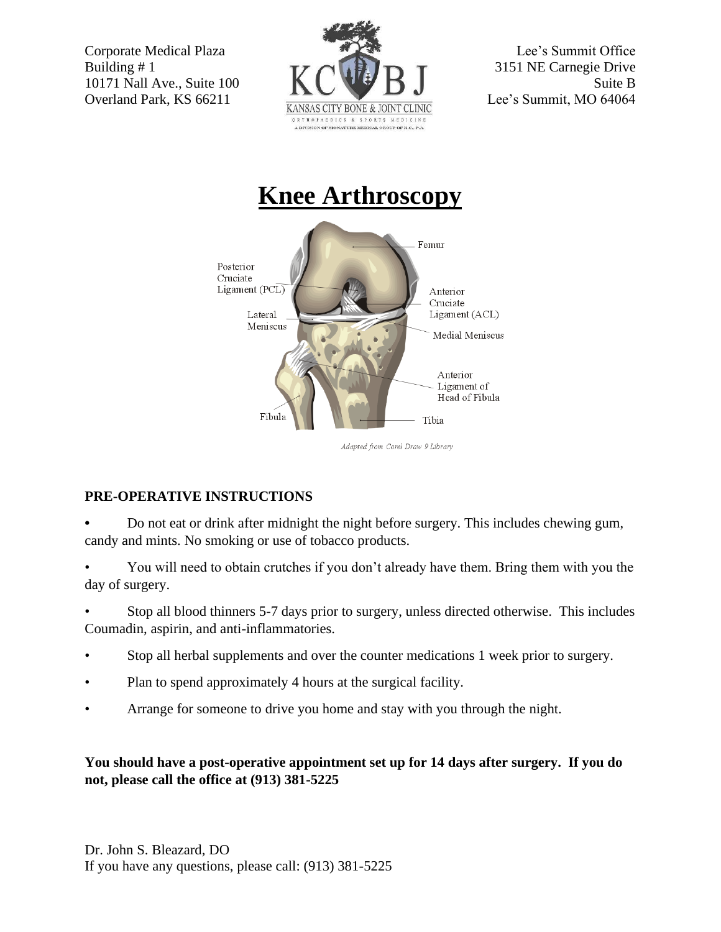



## **PRE-OPERATIVE INSTRUCTIONS**

**•** Do not eat or drink after midnight the night before surgery. This includes chewing gum, candy and mints. No smoking or use of tobacco products.

• You will need to obtain crutches if you don't already have them. Bring them with you the day of surgery.

• Stop all blood thinners 5-7 days prior to surgery, unless directed otherwise. This includes Coumadin, aspirin, and anti-inflammatories.

- Stop all herbal supplements and over the counter medications 1 week prior to surgery.
- Plan to spend approximately 4 hours at the surgical facility.
- Arrange for someone to drive you home and stay with you through the night.

## **You should have a post-operative appointment set up for 14 days after surgery. If you do not, please call the office at (913) 381-5225**